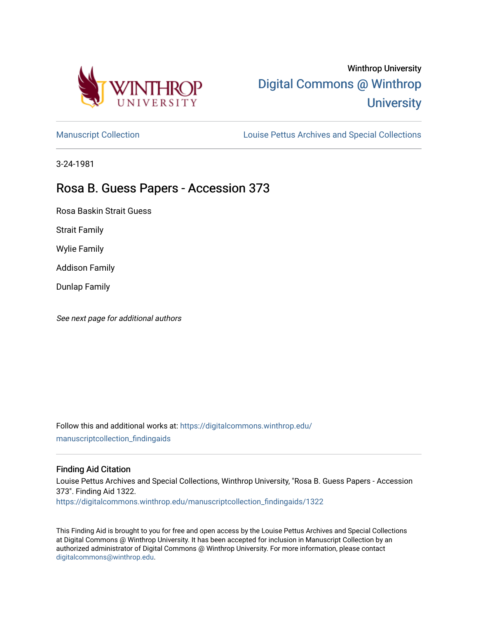

# Winthrop University [Digital Commons @ Winthrop](https://digitalcommons.winthrop.edu/)  **University**

[Manuscript Collection](https://digitalcommons.winthrop.edu/manuscriptcollection_findingaids) **Louise Pettus Archives and Special Collections** 

3-24-1981

## Rosa B. Guess Papers - Accession 373

Rosa Baskin Strait Guess

Strait Family

Wylie Family

Addison Family

Dunlap Family

See next page for additional authors

Follow this and additional works at: [https://digitalcommons.winthrop.edu/](https://digitalcommons.winthrop.edu/manuscriptcollection_findingaids?utm_source=digitalcommons.winthrop.edu%2Fmanuscriptcollection_findingaids%2F1322&utm_medium=PDF&utm_campaign=PDFCoverPages) [manuscriptcollection\\_findingaids](https://digitalcommons.winthrop.edu/manuscriptcollection_findingaids?utm_source=digitalcommons.winthrop.edu%2Fmanuscriptcollection_findingaids%2F1322&utm_medium=PDF&utm_campaign=PDFCoverPages) 

#### Finding Aid Citation

Louise Pettus Archives and Special Collections, Winthrop University, "Rosa B. Guess Papers - Accession 373". Finding Aid 1322.

[https://digitalcommons.winthrop.edu/manuscriptcollection\\_findingaids/1322](https://digitalcommons.winthrop.edu/manuscriptcollection_findingaids/1322?utm_source=digitalcommons.winthrop.edu%2Fmanuscriptcollection_findingaids%2F1322&utm_medium=PDF&utm_campaign=PDFCoverPages) 

This Finding Aid is brought to you for free and open access by the Louise Pettus Archives and Special Collections at Digital Commons @ Winthrop University. It has been accepted for inclusion in Manuscript Collection by an authorized administrator of Digital Commons @ Winthrop University. For more information, please contact [digitalcommons@winthrop.edu](mailto:digitalcommons@winthrop.edu).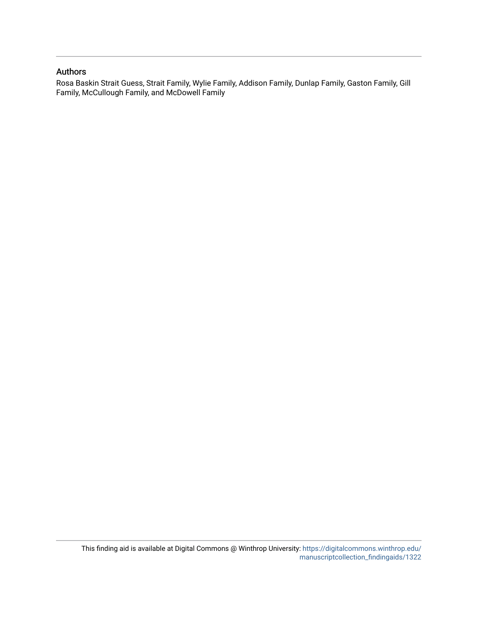#### Authors

Rosa Baskin Strait Guess, Strait Family, Wylie Family, Addison Family, Dunlap Family, Gaston Family, Gill Family, McCullough Family, and McDowell Family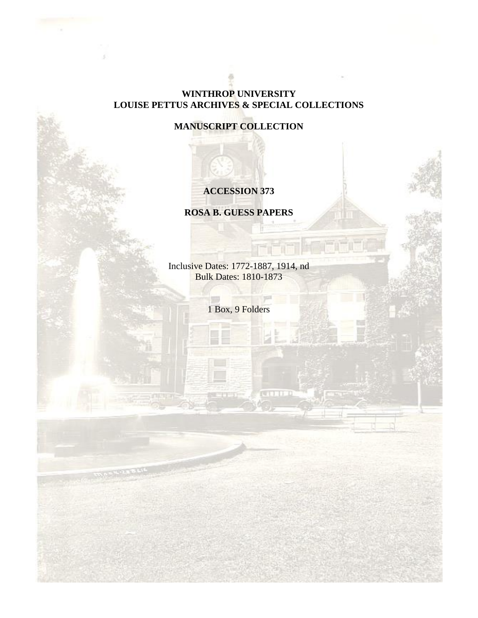### **WINTHROP UNIVERSITY LOUISE PETTUS ARCHIVES & SPECIAL COLLECTIONS**

**MANUSCRIPT COLLECTION**

## **ACCESSION 373**

**ROSA B. GUESS PAPERS**

Inclusive Dates: 1772-1887, 1914, nd Bulk Dates: 1810-1873

1 Box, 9 Folders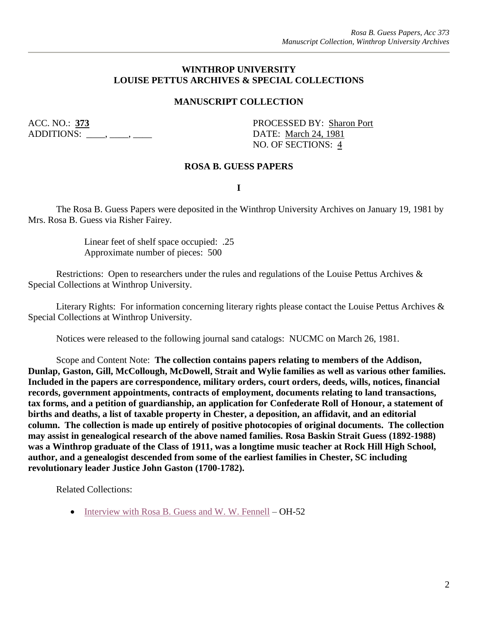#### **WINTHROP UNIVERSITY LOUISE PETTUS ARCHIVES & SPECIAL COLLECTIONS**

### **MANUSCRIPT COLLECTION**

ADDITIONS: \_\_\_\_, \_\_\_\_, \_\_\_\_ DATE: March 24, 1981

ACC. NO.: **373** PROCESSED BY: Sharon Port NO. OF SECTIONS: 4

#### **ROSA B. GUESS PAPERS**

**I**

The Rosa B. Guess Papers were deposited in the Winthrop University Archives on January 19, 1981 by Mrs. Rosa B. Guess via Risher Fairey.

> Linear feet of shelf space occupied: .25 Approximate number of pieces: 500

Restrictions: Open to researchers under the rules and regulations of the Louise Pettus Archives & Special Collections at Winthrop University.

Literary Rights: For information concerning literary rights please contact the Louise Pettus Archives & Special Collections at Winthrop University.

Notices were released to the following journal sand catalogs: NUCMC on March 26, 1981.

Scope and Content Note: **The collection contains papers relating to members of the Addison, Dunlap, Gaston, Gill, McCollough, McDowell, Strait and Wylie families as well as various other families. Included in the papers are correspondence, military orders, court orders, deeds, wills, notices, financial records, government appointments, contracts of employment, documents relating to land transactions, tax forms, and a petition of guardianship, an application for Confederate Roll of Honour, a statement of births and deaths, a list of taxable property in Chester, a deposition, an affidavit, and an editorial column. The collection is made up entirely of positive photocopies of original documents. The collection may assist in genealogical research of the above named families. Rosa Baskin Strait Guess (1892-1988) was a Winthrop graduate of the Class of 1911, was a longtime music teacher at Rock Hill High School, author, and a genealogist descended from some of the earliest families in Chester, SC including revolutionary leader Justice John Gaston (1700-1782).**

Related Collections:

• [Interview with Rosa B. Guess and W. W. Fennell](https://digitalcommons.winthrop.edu/oralhistoryprogram/112/) – OH-52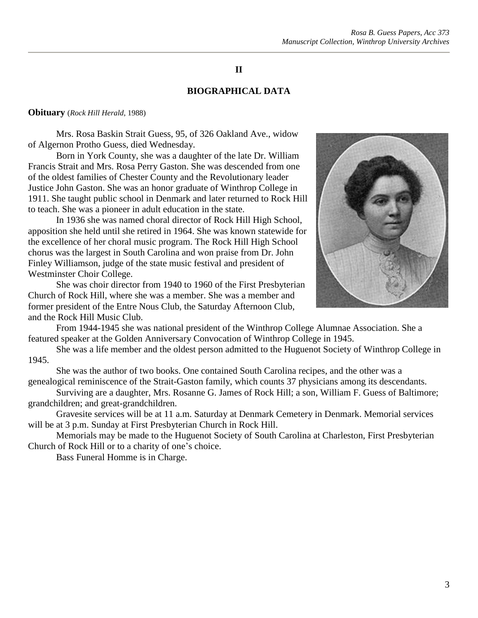### **II**

#### **BIOGRAPHICAL DATA**

#### **Obituary** (*Rock Hill Herald*, 1988)

Mrs. Rosa Baskin Strait Guess, 95, of 326 Oakland Ave., widow of Algernon Protho Guess, died Wednesday.

Born in York County, she was a daughter of the late Dr. William Francis Strait and Mrs. Rosa Perry Gaston. She was descended from one of the oldest families of Chester County and the Revolutionary leader Justice John Gaston. She was an honor graduate of Winthrop College in 1911. She taught public school in Denmark and later returned to Rock Hill to teach. She was a pioneer in adult education in the state.

In 1936 she was named choral director of Rock Hill High School, apposition she held until she retired in 1964. She was known statewide for the excellence of her choral music program. The Rock Hill High School chorus was the largest in South Carolina and won praise from Dr. John Finley Williamson, judge of the state music festival and president of Westminster Choir College.

She was choir director from 1940 to 1960 of the First Presbyterian Church of Rock Hill, where she was a member. She was a member and former president of the Entre Nous Club, the Saturday Afternoon Club, and the Rock Hill Music Club.



From 1944-1945 she was national president of the Winthrop College Alumnae Association. She a featured speaker at the Golden Anniversary Convocation of Winthrop College in 1945.

She was a life member and the oldest person admitted to the Huguenot Society of Winthrop College in 1945.

She was the author of two books. One contained South Carolina recipes, and the other was a genealogical reminiscence of the Strait-Gaston family, which counts 37 physicians among its descendants.

Surviving are a daughter, Mrs. Rosanne G. James of Rock Hill; a son, William F. Guess of Baltimore; grandchildren; and great-grandchildren.

Gravesite services will be at 11 a.m. Saturday at Denmark Cemetery in Denmark. Memorial services will be at 3 p.m. Sunday at First Presbyterian Church in Rock Hill.

Memorials may be made to the Huguenot Society of South Carolina at Charleston, First Presbyterian Church of Rock Hill or to a charity of one's choice.

Bass Funeral Homme is in Charge.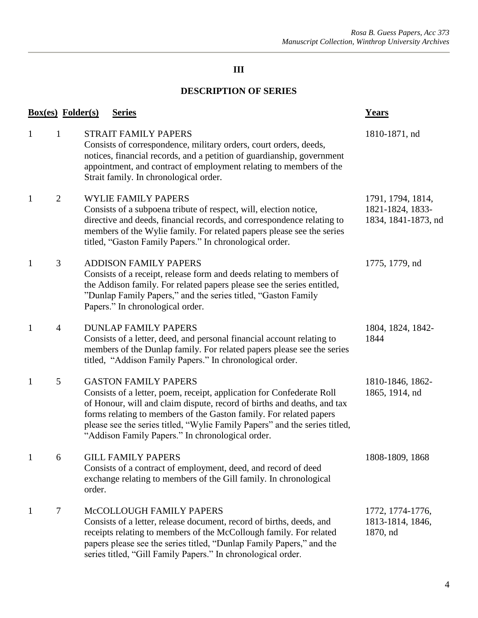## **III**

### **DESCRIPTION OF SERIES**

| <b>Box(es)</b> Folder(s) |                |        | <b>Series</b>                                                                                                                                                                                                                                                                                                                                                                           | <b>Years</b>                                                 |
|--------------------------|----------------|--------|-----------------------------------------------------------------------------------------------------------------------------------------------------------------------------------------------------------------------------------------------------------------------------------------------------------------------------------------------------------------------------------------|--------------------------------------------------------------|
| $\mathbf{1}$             | $\mathbf{1}$   |        | <b>STRAIT FAMILY PAPERS</b><br>Consists of correspondence, military orders, court orders, deeds,<br>notices, financial records, and a petition of guardianship, government<br>appointment, and contract of employment relating to members of the<br>Strait family. In chronological order.                                                                                              | 1810-1871, nd                                                |
| $\mathbf{1}$             | $\overline{2}$ |        | <b>WYLIE FAMILY PAPERS</b><br>Consists of a subpoena tribute of respect, will, election notice,<br>directive and deeds, financial records, and correspondence relating to<br>members of the Wylie family. For related papers please see the series<br>titled, "Gaston Family Papers." In chronological order.                                                                           | 1791, 1794, 1814,<br>1821-1824, 1833-<br>1834, 1841-1873, nd |
| $\mathbf{1}$             | 3              |        | <b>ADDISON FAMILY PAPERS</b><br>Consists of a receipt, release form and deeds relating to members of<br>the Addison family. For related papers please see the series entitled,<br>"Dunlap Family Papers," and the series titled, "Gaston Family<br>Papers." In chronological order.                                                                                                     | 1775, 1779, nd                                               |
| $\mathbf{1}$             | $\overline{4}$ |        | <b>DUNLAP FAMILY PAPERS</b><br>Consists of a letter, deed, and personal financial account relating to<br>members of the Dunlap family. For related papers please see the series<br>titled, "Addison Family Papers." In chronological order.                                                                                                                                             | 1804, 1824, 1842-<br>1844                                    |
| $\mathbf{1}$             | 5              |        | <b>GASTON FAMILY PAPERS</b><br>Consists of a letter, poem, receipt, application for Confederate Roll<br>of Honour, will and claim dispute, record of births and deaths, and tax<br>forms relating to members of the Gaston family. For related papers<br>please see the series titled, "Wylie Family Papers" and the series titled,<br>"Addison Family Papers." In chronological order. | 1810-1846, 1862-<br>1865, 1914, nd                           |
| $\mathbf{1}$             | 6              | order. | <b>GILL FAMILY PAPERS</b><br>Consists of a contract of employment, deed, and record of deed<br>exchange relating to members of the Gill family. In chronological                                                                                                                                                                                                                        | 1808-1809, 1868                                              |
| $\mathbf{1}$             | 7              |        | McCOLLOUGH FAMILY PAPERS<br>Consists of a letter, release document, record of births, deeds, and<br>receipts relating to members of the McCollough family. For related<br>papers please see the series titled, "Dunlap Family Papers," and the<br>series titled, "Gill Family Papers." In chronological order.                                                                          | 1772, 1774-1776,<br>1813-1814, 1846,<br>1870, nd             |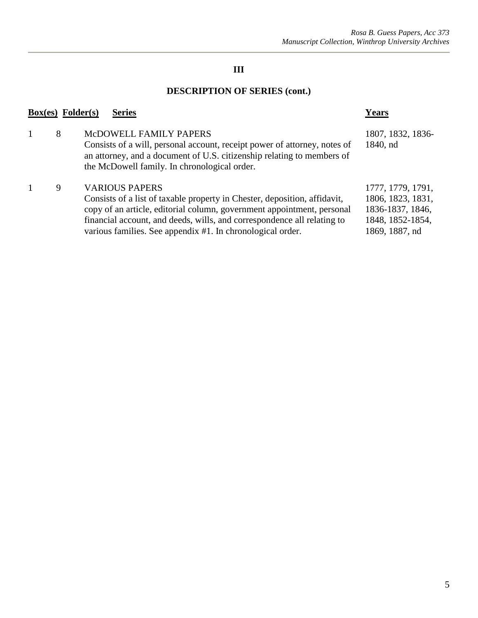## **III**

## **DESCRIPTION OF SERIES (cont.)**

| $Box(es)$ Folder $(s)$ | <b>Series</b>                                                                                                                                                                                                                                                                                                         | <b>Years</b>                                                                                     |
|------------------------|-----------------------------------------------------------------------------------------------------------------------------------------------------------------------------------------------------------------------------------------------------------------------------------------------------------------------|--------------------------------------------------------------------------------------------------|
| 8                      | McDOWELL FAMILY PAPERS<br>Consists of a will, personal account, receipt power of attorney, notes of<br>an attorney, and a document of U.S. citizenship relating to members of<br>the McDowell family. In chronological order.                                                                                         | 1807, 1832, 1836-<br>1840, nd                                                                    |
| 9                      | <b>VARIOUS PAPERS</b><br>Consists of a list of taxable property in Chester, deposition, affidavit,<br>copy of an article, editorial column, government appointment, personal<br>financial account, and deeds, wills, and correspondence all relating to<br>various families. See appendix #1. In chronological order. | 1777, 1779, 1791,<br>1806, 1823, 1831,<br>1836-1837, 1846,<br>1848, 1852-1854,<br>1869, 1887, nd |